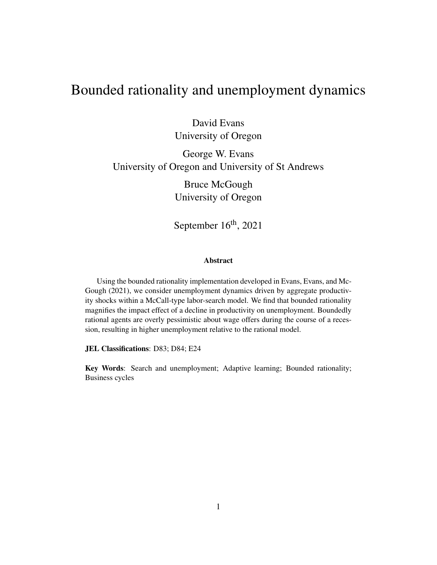# Bounded rationality and unemployment dynamics

David Evans University of Oregon

## George W. Evans University of Oregon and University of St Andrews

Bruce McGough University of Oregon

September 16<sup>th</sup>, 2021

#### Abstract

Using the bounded rationality implementation developed in Evans, Evans, and Mc-Gough (2021), we consider unemployment dynamics driven by aggregate productivity shocks within a McCall-type labor-search model. We find that bounded rationality magnifies the impact effect of a decline in productivity on unemployment. Boundedly rational agents are overly pessimistic about wage offers during the course of a recession, resulting in higher unemployment relative to the rational model.

JEL Classifications: D83; D84; E24

Key Words: Search and unemployment; Adaptive learning; Bounded rationality; Business cycles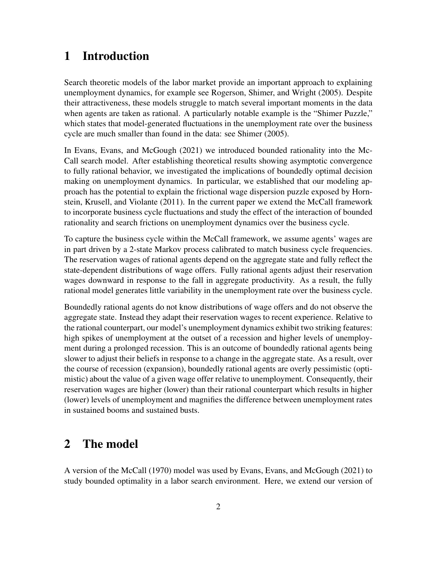## 1 Introduction

Search theoretic models of the labor market provide an important approach to explaining unemployment dynamics, for example see Rogerson, Shimer, and Wright (2005). Despite their attractiveness, these models struggle to match several important moments in the data when agents are taken as rational. A particularly notable example is the "Shimer Puzzle," which states that model-generated fluctuations in the unemployment rate over the business cycle are much smaller than found in the data: see Shimer (2005).

In Evans, Evans, and McGough (2021) we introduced bounded rationality into the Mc-Call search model. After establishing theoretical results showing asymptotic convergence to fully rational behavior, we investigated the implications of boundedly optimal decision making on unemployment dynamics. In particular, we established that our modeling approach has the potential to explain the frictional wage dispersion puzzle exposed by Hornstein, Krusell, and Violante (2011). In the current paper we extend the McCall framework to incorporate business cycle fluctuations and study the effect of the interaction of bounded rationality and search frictions on unemployment dynamics over the business cycle.

To capture the business cycle within the McCall framework, we assume agents' wages are in part driven by a 2-state Markov process calibrated to match business cycle frequencies. The reservation wages of rational agents depend on the aggregate state and fully reflect the state-dependent distributions of wage offers. Fully rational agents adjust their reservation wages downward in response to the fall in aggregate productivity. As a result, the fully rational model generates little variability in the unemployment rate over the business cycle.

Boundedly rational agents do not know distributions of wage offers and do not observe the aggregate state. Instead they adapt their reservation wages to recent experience. Relative to the rational counterpart, our model's unemployment dynamics exhibit two striking features: high spikes of unemployment at the outset of a recession and higher levels of unemployment during a prolonged recession. This is an outcome of boundedly rational agents being slower to adjust their beliefs in response to a change in the aggregate state. As a result, over the course of recession (expansion), boundedly rational agents are overly pessimistic (optimistic) about the value of a given wage offer relative to unemployment. Consequently, their reservation wages are higher (lower) than their rational counterpart which results in higher (lower) levels of unemployment and magnifies the difference between unemployment rates in sustained booms and sustained busts.

## 2 The model

A version of the McCall (1970) model was used by Evans, Evans, and McGough (2021) to study bounded optimality in a labor search environment. Here, we extend our version of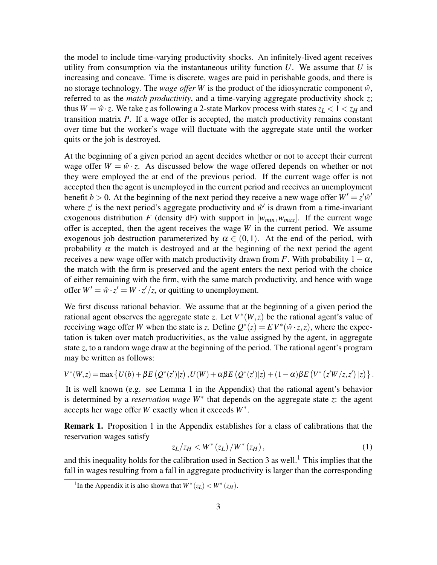the model to include time-varying productivity shocks. An infinitely-lived agent receives utility from consumption via the instantaneous utility function  $U$ . We assume that  $U$  is increasing and concave. Time is discrete, wages are paid in perishable goods, and there is no storage technology. The *wage offer* W is the product of the idiosyncratic component  $\hat{w}$ , referred to as the *match productivity*, and a time-varying aggregate productivity shock *z*; thus  $W = \hat{w} \cdot z$ . We take *z* as following a 2-state Markov process with states  $z_L < 1 < z_H$  and transition matrix *P*. If a wage offer is accepted, the match productivity remains constant over time but the worker's wage will fluctuate with the aggregate state until the worker quits or the job is destroyed.

At the beginning of a given period an agent decides whether or not to accept their current wage offer  $W = \hat{w} \cdot z$ . As discussed below the wage offered depends on whether or not they were employed the at end of the previous period. If the current wage offer is not accepted then the agent is unemployed in the current period and receives an unemployment benefit  $b > 0$ . At the beginning of the next period they receive a new wage offer  $W' = z' \hat{w}'$ where  $z'$  is the next period's aggregate productivity and  $\hat{w}'$  is drawn from a time-invariant exogenous distribution *F* (density dF) with support in  $[w_{min}, w_{max}]$ . If the current wage offer is accepted, then the agent receives the wage *W* in the current period. We assume exogenous job destruction parameterized by  $\alpha \in (0,1)$ . At the end of the period, with probability  $\alpha$  the match is destroyed and at the beginning of the next period the agent receives a new wage offer with match productivity drawn from *F*. With probability  $1-\alpha$ , the match with the firm is preserved and the agent enters the next period with the choice of either remaining with the firm, with the same match productivity, and hence with wage offer  $W' = \hat{w} \cdot z' = W \cdot z'/z$ , or quitting to unemployment.

We first discuss rational behavior. We assume that at the beginning of a given period the rational agent observes the aggregate state *z*. Let  $V^*(W, z)$  be the rational agent's value of receiving wage offer *W* when the state is *z*. Define  $Q^*(z) = EV^*(\hat{w} \cdot z, z)$ , where the expectation is taken over match productivities, as the value assigned by the agent, in aggregate state *z*, to a random wage draw at the beginning of the period. The rational agent's program may be written as follows:

$$
V^*(W,z) = \max \left\{ U(b) + \beta E\left(Q^*(z')|z\right), U(W) + \alpha \beta E\left(Q^*(z')|z\right) + (1-\alpha)\beta E\left(V^*\left(z'W/z,z'\right)|z\right) \right\}.
$$

It is well known (e.g. see Lemma 1 in the Appendix) that the rational agent's behavior is determined by a *reservation wage W*<sup>∗</sup> that depends on the aggregate state *z*: the agent accepts her wage offer *W* exactly when it exceeds *W*<sup>∗</sup> .

Remark 1. Proposition 1 in the Appendix establishes for a class of calibrations that the reservation wages satisfy

$$
z_L/z_H < W^*(z_L) / W^*(z_H),\tag{1}
$$

and this inequality holds for the calibration used in Section 3 as well.<sup>1</sup> This implies that the fall in wages resulting from a fall in aggregate productivity is larger than the corresponding

<sup>&</sup>lt;sup>1</sup>In the Appendix it is also shown that  $W^*(z_L) < W^*(z_H)$ .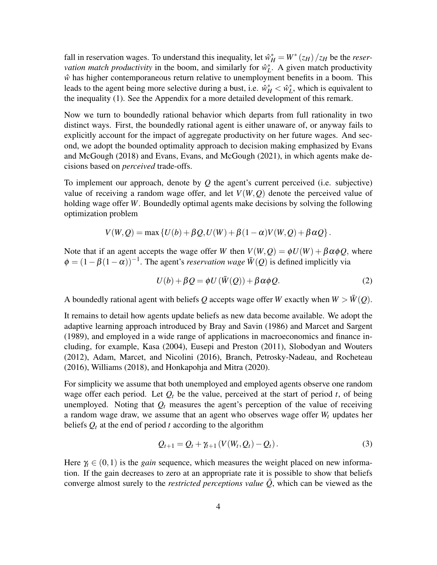fall in reservation wages. To understand this inequality, let  $\hat{w}_H^* = W^* (z_H)/z_H$  be the *reservation match productivity* in the boom, and similarly for  $\hat{w}_L^*$ . A given match productivity  $\hat{w}$  has higher contemporaneous return relative to unemployment benefits in a boom. This leads to the agent being more selective during a bust, i.e.  $\hat{w}_H^* < \hat{w}_L^*$ , which is equivalent to the inequality (1). See the Appendix for a more detailed development of this remark.

Now we turn to boundedly rational behavior which departs from full rationality in two distinct ways. First, the boundedly rational agent is either unaware of, or anyway fails to explicitly account for the impact of aggregate productivity on her future wages. And second, we adopt the bounded optimality approach to decision making emphasized by Evans and McGough (2018) and Evans, Evans, and McGough (2021), in which agents make decisions based on *perceived* trade-offs.

To implement our approach, denote by *Q* the agent's current perceived (i.e. subjective) value of receiving a random wage offer, and let  $V(W, Q)$  denote the perceived value of holding wage offer *W*. Boundedly optimal agents make decisions by solving the following optimization problem

$$
V(W,Q) = \max \left\{ U(b) + \beta Q, U(W) + \beta (1-\alpha) V(W,Q) + \beta \alpha Q \right\}.
$$

Note that if an agent accepts the wage offer *W* then  $V(W, Q) = \phi U(W) + \beta \alpha \phi Q$ , where  $\phi = (1 - \beta(1 - \alpha))^{-1}$ . The agent's *reservation wage*  $\bar{W}(Q)$  is defined implicitly via

$$
U(b) + \beta Q = \phi U(\bar{W}(Q)) + \beta \alpha \phi Q.
$$
 (2)

A boundedly rational agent with beliefs Q accepts wage offer *W* exactly when  $W > W(Q)$ .

It remains to detail how agents update beliefs as new data become available. We adopt the adaptive learning approach introduced by Bray and Savin (1986) and Marcet and Sargent (1989), and employed in a wide range of applications in macroeconomics and finance including, for example, Kasa (2004), Eusepi and Preston (2011), Slobodyan and Wouters (2012), Adam, Marcet, and Nicolini (2016), Branch, Petrosky-Nadeau, and Rocheteau (2016), Williams (2018), and Honkapohja and Mitra (2020).

For simplicity we assume that both unemployed and employed agents observe one random wage offer each period. Let  $Q_t$  be the value, perceived at the start of period  $t$ , of being unemployed. Noting that  $Q_t$  measures the agent's perception of the value of receiving a random wage draw, we assume that an agent who observes wage offer *W<sup>t</sup>* updates her beliefs *Q<sup>t</sup>* at the end of period *t* according to the algorithm

$$
Q_{t+1} = Q_t + \gamma_{t+1} \left( V(W_t, Q_t) - Q_t \right). \tag{3}
$$

Here  $\gamma_t \in (0,1)$  is the *gain* sequence, which measures the weight placed on new information. If the gain decreases to zero at an appropriate rate it is possible to show that beliefs converge almost surely to the *restricted perceptions value*  $\overline{Q}$ , which can be viewed as the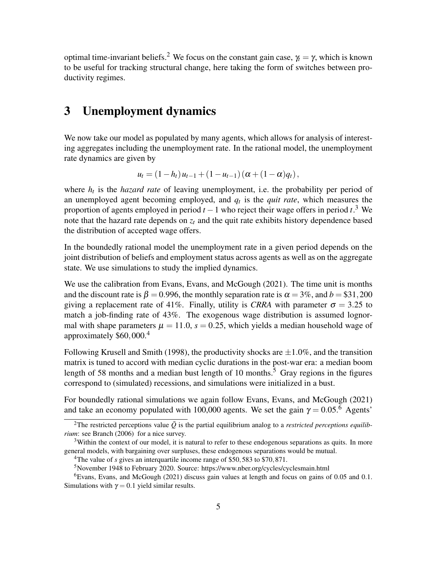optimal time-invariant beliefs.<sup>2</sup> We focus on the constant gain case,  $\gamma_t = \gamma$ , which is known to be useful for tracking structural change, here taking the form of switches between productivity regimes.

## 3 Unemployment dynamics

We now take our model as populated by many agents, which allows for analysis of interesting aggregates including the unemployment rate. In the rational model, the unemployment rate dynamics are given by

$$
u_t = (1 - h_t) u_{t-1} + (1 - u_{t-1}) (\alpha + (1 - \alpha) q_t),
$$

where  $h_t$  is the *hazard rate* of leaving unemployment, i.e. the probability per period of an unemployed agent becoming employed, and *q<sup>t</sup>* is the *quit rate*, which measures the proportion of agents employed in period *t* −1 who reject their wage offers in period *t*. <sup>3</sup> We note that the hazard rate depends on *z<sup>t</sup>* and the quit rate exhibits history dependence based the distribution of accepted wage offers.

In the boundedly rational model the unemployment rate in a given period depends on the joint distribution of beliefs and employment status across agents as well as on the aggregate state. We use simulations to study the implied dynamics.

We use the calibration from Evans, Evans, and McGough (2021). The time unit is months and the discount rate is  $\beta = 0.996$ , the monthly separation rate is  $\alpha = 3\%$ , and  $b = \$31,200$ giving a replacement rate of 41%. Finally, utility is *CRRA* with parameter  $\sigma = 3.25$  to match a job-finding rate of 43%. The exogenous wage distribution is assumed lognormal with shape parameters  $\mu = 11.0$ ,  $s = 0.25$ , which yields a median household wage of approximately \$60,000.<sup>4</sup>

Following Krusell and Smith (1998), the productivity shocks are  $\pm 1.0\%$ , and the transition matrix is tuned to accord with median cyclic durations in the post-war era: a median boom length of 58 months and a median bust length of 10 months.<sup>5</sup> Gray regions in the figures correspond to (simulated) recessions, and simulations were initialized in a bust.

For boundedly rational simulations we again follow Evans, Evans, and McGough (2021) and take an economy populated with 100,000 agents. We set the gain  $\gamma = 0.05$ .<sup>6</sup> Agents'

<sup>&</sup>lt;sup>2</sup>The restricted perceptions value  $\overline{Q}$  is the partial equilibrium analog to a *restricted perceptions equilibrium*: see Branch (2006) for a nice survey.

<sup>&</sup>lt;sup>3</sup>Within the context of our model, it is natural to refer to these endogenous separations as quits. In more general models, with bargaining over surpluses, these endogenous separations would be mutual.

<sup>&</sup>lt;sup>4</sup>The value of *s* gives an interquartile income range of \$50,583 to \$70,871.

<sup>5</sup>November 1948 to February 2020. Source: https://www.nber.org/cycles/cyclesmain.html

<sup>6</sup>Evans, Evans, and McGough (2021) discuss gain values at length and focus on gains of 0.05 and 0.1. Simulations with  $\gamma = 0.1$  yield similar results.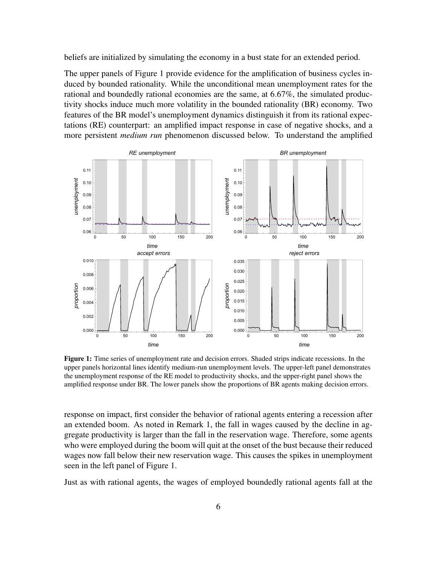beliefs are initialized by simulating the economy in a bust state for an extended period.

The upper panels of Figure 1 provide evidence for the amplification of business cycles induced by bounded rationality. While the unconditional mean unemployment rates for the rational and boundedly rational economies are the same, at 6.67%, the simulated productivity shocks induce much more volatility in the bounded rationality (BR) economy. Two features of the BR model's unemployment dynamics distinguish it from its rational expectations (RE) counterpart: an amplified impact response in case of negative shocks, and a more persistent *medium run* phenomenon discussed below. To understand the amplified



Figure 1: Time series of unemployment rate and decision errors. Shaded strips indicate recessions. In the upper panels horizontal lines identify medium-run unemployment levels. The upper-left panel demonstrates the unemployment response of the RE model to productivity shocks, and the upper-right panel shows the amplified response under BR. The lower panels show the proportions of BR agents making decision errors.

response on impact, first consider the behavior of rational agents entering a recession after an extended boom. As noted in Remark 1, the fall in wages caused by the decline in aggregate productivity is larger than the fall in the reservation wage. Therefore, some agents who were employed during the boom will quit at the onset of the bust because their reduced wages now fall below their new reservation wage. This causes the spikes in unemployment seen in the left panel of Figure 1.

Just as with rational agents, the wages of employed boundedly rational agents fall at the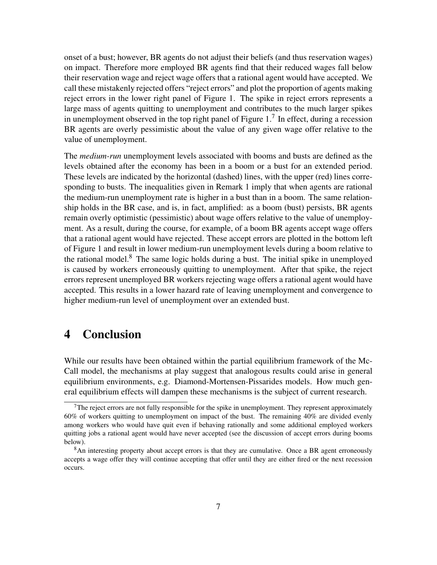onset of a bust; however, BR agents do not adjust their beliefs (and thus reservation wages) on impact. Therefore more employed BR agents find that their reduced wages fall below their reservation wage and reject wage offers that a rational agent would have accepted. We call these mistakenly rejected offers "reject errors" and plot the proportion of agents making reject errors in the lower right panel of Figure 1. The spike in reject errors represents a large mass of agents quitting to unemployment and contributes to the much larger spikes in unemployment observed in the top right panel of Figure 1.<sup>7</sup> In effect, during a recession BR agents are overly pessimistic about the value of any given wage offer relative to the value of unemployment.

The *medium-run* unemployment levels associated with booms and busts are defined as the levels obtained after the economy has been in a boom or a bust for an extended period. These levels are indicated by the horizontal (dashed) lines, with the upper (red) lines corresponding to busts. The inequalities given in Remark 1 imply that when agents are rational the medium-run unemployment rate is higher in a bust than in a boom. The same relationship holds in the BR case, and is, in fact, amplified: as a boom (bust) persists, BR agents remain overly optimistic (pessimistic) about wage offers relative to the value of unemployment. As a result, during the course, for example, of a boom BR agents accept wage offers that a rational agent would have rejected. These accept errors are plotted in the bottom left of Figure 1 and result in lower medium-run unemployment levels during a boom relative to the rational model.<sup>8</sup> The same logic holds during a bust. The initial spike in unemployed is caused by workers erroneously quitting to unemployment. After that spike, the reject errors represent unemployed BR workers rejecting wage offers a rational agent would have accepted. This results in a lower hazard rate of leaving unemployment and convergence to higher medium-run level of unemployment over an extended bust.

## 4 Conclusion

While our results have been obtained within the partial equilibrium framework of the Mc-Call model, the mechanisms at play suggest that analogous results could arise in general equilibrium environments, e.g. Diamond-Mortensen-Pissarides models. How much general equilibrium effects will dampen these mechanisms is the subject of current research.

 $7$ The reject errors are not fully responsible for the spike in unemployment. They represent approximately 60% of workers quitting to unemployment on impact of the bust. The remaining 40% are divided evenly among workers who would have quit even if behaving rationally and some additional employed workers quitting jobs a rational agent would have never accepted (see the discussion of accept errors during booms below).

<sup>&</sup>lt;sup>8</sup>An interesting property about accept errors is that they are cumulative. Once a BR agent erroneously accepts a wage offer they will continue accepting that offer until they are either fired or the next recession occurs.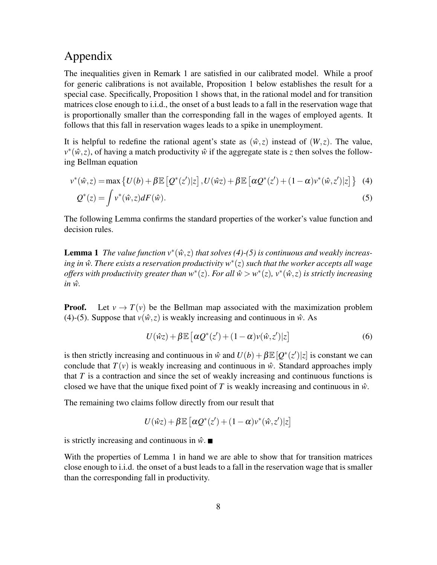## Appendix

The inequalities given in Remark 1 are satisfied in our calibrated model. While a proof for generic calibrations is not available, Proposition 1 below establishes the result for a special case. Specifically, Proposition 1 shows that, in the rational model and for transition matrices close enough to i.i.d., the onset of a bust leads to a fall in the reservation wage that is proportionally smaller than the corresponding fall in the wages of employed agents. It follows that this fall in reservation wages leads to a spike in unemployment.

It is helpful to redefine the rational agent's state as  $(\hat{w}, z)$  instead of  $(W, z)$ . The value,  $v^*(\hat{w}, z)$ , of having a match productivity  $\hat{w}$  if the aggregate state is *z* then solves the following Bellman equation

$$
v^*(\hat{w}, z) = \max \left\{ U(b) + \beta \mathbb{E} \left[ Q^*(z')|z \right], U(\hat{w}z) + \beta \mathbb{E} \left[ \alpha Q^*(z') + (1 - \alpha)v^*(\hat{w}, z')|z \right] \right\}
$$
(4)  

$$
Q^*(z) = \int v^*(\hat{w}, z) dF(\hat{w}).
$$
(5)

The following Lemma confirms the standard properties of the worker's value function and decision rules.

**Lemma 1** The value function  $v^*(\hat{w}, z)$  that solves (4)-(5) is continuous and weakly increas*ing in w*ˆ. *There exists a reservation productivity w*<sup>∗</sup> (*z*) *such that the worker accepts all wage offers with productivity greater than w*<sup>∗</sup> (*z*). *For all w*ˆ > *w* ∗ (*z*)*, v*<sup>∗</sup> (*w*ˆ,*z*) *is strictly increasing*  $in \hat{w}$ .

**Proof.** Let  $v \to T(v)$  be the Bellman map associated with the maximization problem (4)-(5). Suppose that  $v(\hat{w}, z)$  is weakly increasing and continuous in  $\hat{w}$ . As

$$
U(\hat{w}z) + \beta \mathbb{E}\left[\alpha Q^*(z') + (1 - \alpha)v(\hat{w}, z')|z\right]
$$
 (6)

is then strictly increasing and continuous in  $\hat{w}$  and  $U(b) + \beta \mathbb{E}[Q^*(z')|z]$  is constant we can conclude that  $T(v)$  is weakly increasing and continuous in  $\hat{w}$ . Standard approaches imply that *T* is a contraction and since the set of weakly increasing and continuous functions is closed we have that the unique fixed point of *T* is weakly increasing and continuous in  $\hat{w}$ .

The remaining two claims follow directly from our result that

$$
U(\hat{w}z) + \beta \mathbb{E}\left[\alpha Q^*(z') + (1-\alpha)v^*(\hat{w},z')|z\right]
$$

is strictly increasing and continuous in  $\hat{w}$ .

With the properties of Lemma 1 in hand we are able to show that for transition matrices close enough to i.i.d. the onset of a bust leads to a fall in the reservation wage that is smaller than the corresponding fall in productivity.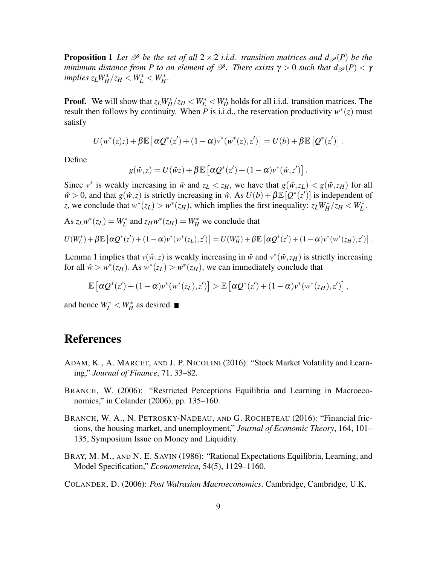**Proposition 1** Let  $\mathscr P$  be the set of all  $2 \times 2$  *i.i.d.* transition matrices and  $d_{\mathscr P}(P)$  be the *minimum distance from P to an element of*  $\mathscr P$ *. There exists*  $\gamma > 0$  *such that*  $d_{\mathscr P}(P) < \gamma$  $\frac{1}{2}$ *implies*  $z_L W_H^* / z_H < W_L^* < W_H^*$ .

**Proof.** We will show that  $z_L W_H^* / z_H < W_L^* < W_H^*$  holds for all i.i.d. transition matrices. The result then follows by continuity. When  $\overline{P}$  is i.i.d., the reservation productivity  $w^*(z)$  must satisfy

$$
U(w^*(z)z)+\beta \mathbb{E}\left[\alpha Q^*(z')+(1-\alpha)v^*(w^*(z),z')\right]=U(b)+\beta \mathbb{E}\left[Q^*(z')\right].
$$

Define

$$
g(\hat{w},z) = U(\hat{w}z) + \beta \mathbb{E} \left[ \alpha Q^*(z') + (1-\alpha)v^*(\hat{w},z') \right].
$$

Since  $v^*$  is weakly increasing in  $\hat{w}$  and  $z_L < z_H$ , we have that  $g(\hat{w}, z_L) < g(\hat{w}, z_H)$  for all  $\hat{w} > 0$ , and that  $g(\hat{w}, z)$  is strictly increasing in  $\hat{w}$ . As  $U(b) + \beta \mathbb{E}[Q^*(z')]$  is independent of *z*, we conclude that  $w^*(z_L) > w^*(z_H)$ , which implies the first inequality:  $z_L W_H^* / z_H < W_L^*$ .

As  $z_L w^*(z_L) = W^*_L$  and  $z_H w^*(z_H) = W^*_H$  we conclude that

$$
U(W_L^*) + \beta \mathbb{E} \left[ \alpha Q^*(z') + (1 - \alpha) v^*(w^*(z_L), z') \right] = U(W_H^*) + \beta \mathbb{E} \left[ \alpha Q^*(z') + (1 - \alpha) v^*(w^*(z_H), z') \right].
$$

Lemma 1 implies that  $v(\hat{w}, z)$  is weakly increasing in  $\hat{w}$  and  $v^*(\hat{w}, z_H)$  is strictly increasing for all  $\hat{w} > w^*(z_H)$ . As  $w^*(z_L) > w^*(z_H)$ , we can immediately conclude that

$$
\mathbb{E}\left[\alpha Q^*(z')+(1-\alpha)v^*(w^*(z_L),z')\right] > \mathbb{E}\left[\alpha Q^*(z')+(1-\alpha)v^*(w^*(z_H),z')\right],
$$

and hence  $W_L^* < W_H^*$  as desired.

### References

- ADAM, K., A. MARCET, AND J. P. NICOLINI (2016): "Stock Market Volatility and Learning," *Journal of Finance*, 71, 33–82.
- BRANCH, W. (2006): "Restricted Perceptions Equilibria and Learning in Macroeconomics," in Colander (2006), pp. 135–160.
- BRANCH, W. A., N. PETROSKY-NADEAU, AND G. ROCHETEAU (2016): "Financial frictions, the housing market, and unemployment," *Journal of Economic Theory*, 164, 101– 135, Symposium Issue on Money and Liquidity.
- BRAY, M. M., AND N. E. SAVIN (1986): "Rational Expectations Equilibria, Learning, and Model Specification," *Econometrica*, 54(5), 1129–1160.

COLANDER, D. (2006): *Post Walrasian Macroeconomics*. Cambridge, Cambridge, U.K.